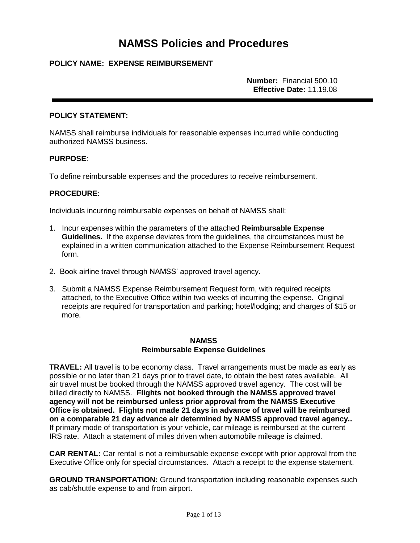# **NAMSS Policies and Procedures**

## **POLICY NAME: EXPENSE REIMBURSEMENT**

**Number:** Financial 500.10 **Effective Date:** 11.19.08

#### **POLICY STATEMENT:**

NAMSS shall reimburse individuals for reasonable expenses incurred while conducting authorized NAMSS business.

#### **PURPOSE**:

To define reimbursable expenses and the procedures to receive reimbursement.

#### **PROCEDURE**:

Individuals incurring reimbursable expenses on behalf of NAMSS shall:

- 1. Incur expenses within the parameters of the attached **Reimbursable Expense Guidelines.** If the expense deviates from the guidelines, the circumstances must be explained in a written communication attached to the Expense Reimbursement Request form.
- 2. Book airline travel through NAMSS' approved travel agency.
- 3. Submit a NAMSS Expense Reimbursement Request form, with required receipts attached, to the Executive Office within two weeks of incurring the expense. Original receipts are required for transportation and parking; hotel/lodging; and charges of \$15 or more.

#### **NAMSS Reimbursable Expense Guidelines**

**TRAVEL:** All travel is to be economy class. Travel arrangements must be made as early as possible or no later than 21 days prior to travel date, to obtain the best rates available. All air travel must be booked through the NAMSS approved travel agency. The cost will be billed directly to NAMSS. **Flights not booked through the NAMSS approved travel agency will not be reimbursed unless prior approval from the NAMSS Executive Office is obtained. Flights not made 21 days in advance of travel will be reimbursed on a comparable 21 day advance air determined by NAMSS approved travel agency..**  If primary mode of transportation is your vehicle, car mileage is reimbursed at the current IRS rate. Attach a statement of miles driven when automobile mileage is claimed.

**CAR RENTAL:** Car rental is not a reimbursable expense except with prior approval from the Executive Office only for special circumstances. Attach a receipt to the expense statement.

**GROUND TRANSPORTATION:** Ground transportation including reasonable expenses such as cab/shuttle expense to and from airport.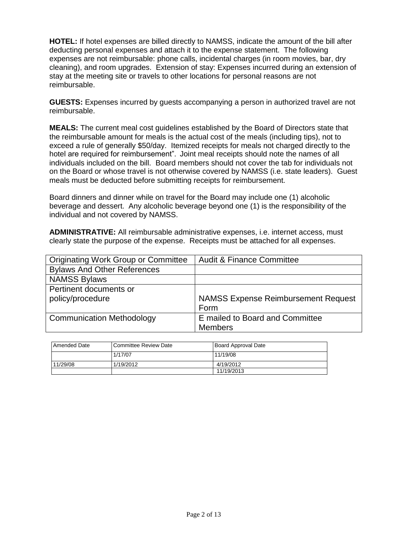**HOTEL:** If hotel expenses are billed directly to NAMSS, indicate the amount of the bill after deducting personal expenses and attach it to the expense statement. The following expenses are not reimbursable: phone calls, incidental charges (in room movies, bar, dry cleaning), and room upgrades. Extension of stay: Expenses incurred during an extension of stay at the meeting site or travels to other locations for personal reasons are not reimbursable.

**GUESTS:** Expenses incurred by guests accompanying a person in authorized travel are not reimbursable.

**MEALS:** The current meal cost guidelines established by the Board of Directors state that the reimbursable amount for meals is the actual cost of the meals (including tips), not to exceed a rule of generally \$50/day. Itemized receipts for meals not charged directly to the hotel are required for reimbursement". Joint meal receipts should note the names of all individuals included on the bill. Board members should not cover the tab for individuals not on the Board or whose travel is not otherwise covered by NAMSS (i.e. state leaders). Guest meals must be deducted before submitting receipts for reimbursement.

Board dinners and dinner while on travel for the Board may include one (1) alcoholic beverage and dessert. Any alcoholic beverage beyond one (1) is the responsibility of the individual and not covered by NAMSS.

**ADMINISTRATIVE:** All reimbursable administrative expenses, i.e. internet access, must clearly state the purpose of the expense. Receipts must be attached for all expenses.

| <b>Originating Work Group or Committee</b> | <b>Audit &amp; Finance Committee</b>       |
|--------------------------------------------|--------------------------------------------|
| <b>Bylaws And Other References</b>         |                                            |
| <b>NAMSS Bylaws</b>                        |                                            |
| Pertinent documents or                     |                                            |
| policy/procedure                           | <b>NAMSS Expense Reimbursement Request</b> |
|                                            | Form                                       |
| <b>Communication Methodology</b>           | E mailed to Board and Committee            |
|                                            | <b>Members</b>                             |

| <b>Amended Date</b> | l Committee Review Date | <b>Board Approval Date</b> |
|---------------------|-------------------------|----------------------------|
|                     | 1/17/07                 | 11/19/08                   |
| 11/29/08            | 1/19/2012               | 4/19/2012                  |
|                     |                         | 11/19/2013                 |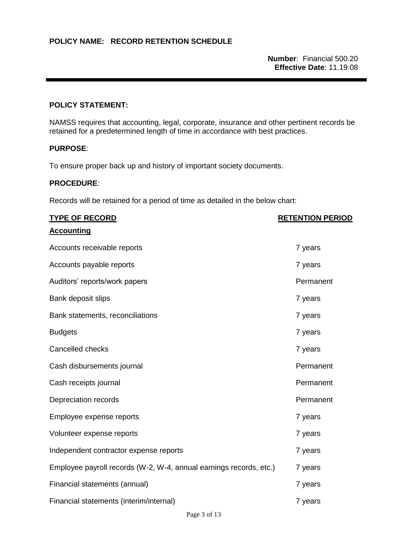**Number**: Financial 500.20 **Effective Date**: 11.19.08

## **POLICY STATEMENT:**

NAMSS requires that accounting, legal, corporate, insurance and other pertinent records be retained for a predetermined length of time in accordance with best practices.

## **PURPOSE**:

To ensure proper back up and history of important society documents.

## **PROCEDURE**:

Records will be retained for a period of time as detailed in the below chart:

| <b>TYPE OF RECORD</b>                                              | <b>RETENTION PERIOD</b> |
|--------------------------------------------------------------------|-------------------------|
| <b>Accounting</b>                                                  |                         |
| Accounts receivable reports                                        | 7 years                 |
| Accounts payable reports                                           | 7 years                 |
| Auditors' reports/work papers                                      | Permanent               |
| Bank deposit slips                                                 | 7 years                 |
| Bank statements, reconciliations                                   | 7 years                 |
| <b>Budgets</b>                                                     | 7 years                 |
| Cancelled checks                                                   | 7 years                 |
| Cash disbursements journal                                         | Permanent               |
| Cash receipts journal                                              | Permanent               |
| Depreciation records                                               | Permanent               |
| Employee expense reports                                           | 7 years                 |
| Volunteer expense reports                                          | 7 years                 |
| Independent contractor expense reports                             | 7 years                 |
| Employee payroll records (W-2, W-4, annual earnings records, etc.) | 7 years                 |
| Financial statements (annual)                                      | 7 years                 |
| Financial statements (interim/internal)                            | 7 years                 |
|                                                                    |                         |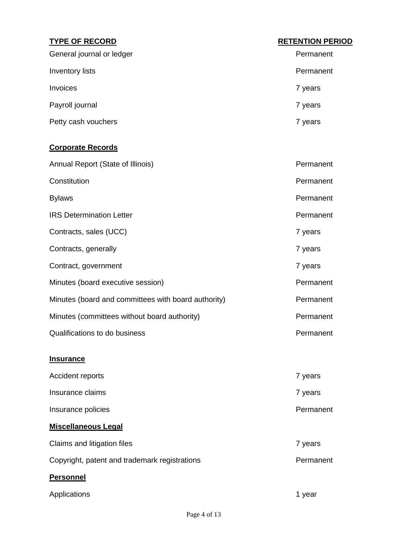| <b>TYPE OF RECORD</b>                               | <b>RETENTION PERIOD</b> |
|-----------------------------------------------------|-------------------------|
| General journal or ledger                           | Permanent               |
| Inventory lists                                     | Permanent               |
| Invoices                                            | 7 years                 |
| Payroll journal                                     | 7 years                 |
| Petty cash vouchers                                 | 7 years                 |
| <b>Corporate Records</b>                            |                         |
| Annual Report (State of Illinois)                   | Permanent               |
| Constitution                                        | Permanent               |
| <b>Bylaws</b>                                       | Permanent               |
| <b>IRS Determination Letter</b>                     | Permanent               |
| Contracts, sales (UCC)                              | 7 years                 |
| Contracts, generally                                | 7 years                 |
| Contract, government                                | 7 years                 |
| Minutes (board executive session)                   | Permanent               |
| Minutes (board and committees with board authority) | Permanent               |
| Minutes (committees without board authority)        | Permanent               |
| Qualifications to do business                       | Permanent               |
| <b>Insurance</b>                                    |                         |
| Accident reports                                    | 7 years                 |
| Insurance claims                                    | 7 years                 |
| Insurance policies                                  | Permanent               |
| <b>Miscellaneous Legal</b>                          |                         |
| Claims and litigation files                         | 7 years                 |
| Copyright, patent and trademark registrations       | Permanent               |
| <b>Personnel</b>                                    |                         |
| Applications                                        | 1 year                  |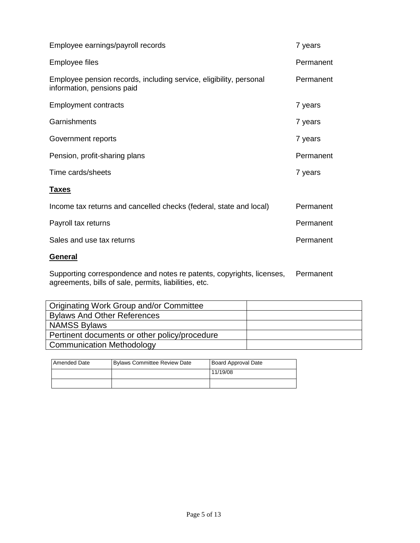| Employee earnings/payroll records                                                                | 7 years   |
|--------------------------------------------------------------------------------------------------|-----------|
| Employee files                                                                                   | Permanent |
| Employee pension records, including service, eligibility, personal<br>information, pensions paid | Permanent |
| <b>Employment contracts</b>                                                                      | 7 years   |
| Garnishments                                                                                     | 7 years   |
| Government reports                                                                               | 7 years   |
| Pension, profit-sharing plans                                                                    | Permanent |
| Time cards/sheets                                                                                | 7 years   |
| <u>Taxes</u>                                                                                     |           |
| Income tax returns and cancelled checks (federal, state and local)                               | Permanent |
| Payroll tax returns                                                                              | Permanent |
| Sales and use tax returns                                                                        | Permanent |
| <b>General</b>                                                                                   |           |

Supporting correspondence and notes re patents, copyrights, licenses, agreements, bills of sale, permits, liabilities, etc. Permanent

| Originating Work Group and/or Committee       |  |
|-----------------------------------------------|--|
| <b>Bylaws And Other References</b>            |  |
| <b>NAMSS Bylaws</b>                           |  |
| Pertinent documents or other policy/procedure |  |
| <b>Communication Methodology</b>              |  |

| Amended Date | <b>Bylaws Committee Review Date</b> | Board Approval Date |
|--------------|-------------------------------------|---------------------|
|              |                                     | 11/19/08            |
|              |                                     |                     |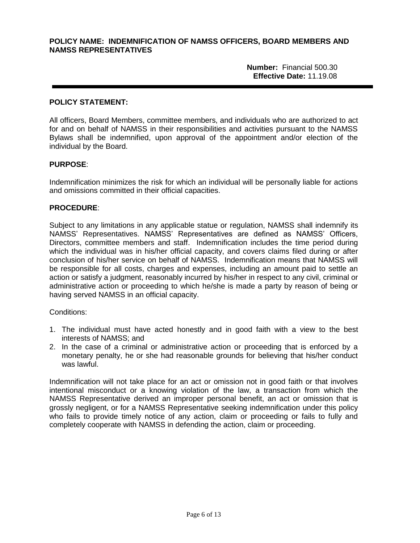#### **POLICY NAME: INDEMNIFICATION OF NAMSS OFFICERS, BOARD MEMBERS AND NAMSS REPRESENTATIVES**

**Number:** Financial 500.30 **Effective Date:** 11.19.08

#### **POLICY STATEMENT:**

All officers, Board Members, committee members, and individuals who are authorized to act for and on behalf of NAMSS in their responsibilities and activities pursuant to the NAMSS Bylaws shall be indemnified, upon approval of the appointment and/or election of the individual by the Board.

#### **PURPOSE**:

Indemnification minimizes the risk for which an individual will be personally liable for actions and omissions committed in their official capacities.

#### **PROCEDURE**:

Subject to any limitations in any applicable statue or regulation, NAMSS shall indemnify its NAMSS' Representatives. NAMSS' Representatives are defined as NAMSS' Officers, Directors, committee members and staff. Indemnification includes the time period during which the individual was in his/her official capacity, and covers claims filed during or after conclusion of his/her service on behalf of NAMSS. Indemnification means that NAMSS will be responsible for all costs, charges and expenses, including an amount paid to settle an action or satisfy a judgment, reasonably incurred by his/her in respect to any civil, criminal or administrative action or proceeding to which he/she is made a party by reason of being or having served NAMSS in an official capacity.

#### Conditions:

- 1. The individual must have acted honestly and in good faith with a view to the best interests of NAMSS; and
- 2. In the case of a criminal or administrative action or proceeding that is enforced by a monetary penalty, he or she had reasonable grounds for believing that his/her conduct was lawful.

Indemnification will not take place for an act or omission not in good faith or that involves intentional misconduct or a knowing violation of the law, a transaction from which the NAMSS Representative derived an improper personal benefit, an act or omission that is grossly negligent, or for a NAMSS Representative seeking indemnification under this policy who fails to provide timely notice of any action, claim or proceeding or fails to fully and completely cooperate with NAMSS in defending the action, claim or proceeding.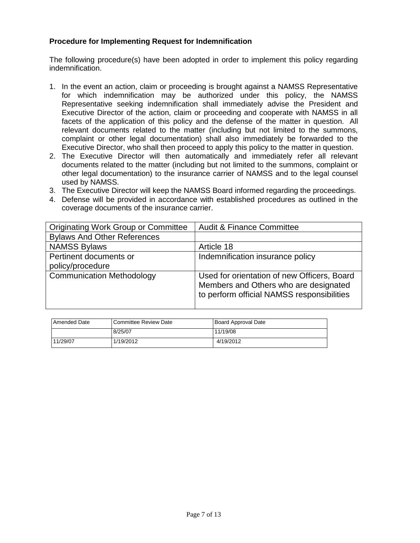## **Procedure for Implementing Request for Indemnification**

The following procedure(s) have been adopted in order to implement this policy regarding indemnification.

- 1. In the event an action, claim or proceeding is brought against a NAMSS Representative for which indemnification may be authorized under this policy, the NAMSS Representative seeking indemnification shall immediately advise the President and Executive Director of the action, claim or proceeding and cooperate with NAMSS in all facets of the application of this policy and the defense of the matter in question. All relevant documents related to the matter (including but not limited to the summons, complaint or other legal documentation) shall also immediately be forwarded to the Executive Director, who shall then proceed to apply this policy to the matter in question.
- 2. The Executive Director will then automatically and immediately refer all relevant documents related to the matter (including but not limited to the summons, complaint or other legal documentation) to the insurance carrier of NAMSS and to the legal counsel used by NAMSS.
- 3. The Executive Director will keep the NAMSS Board informed regarding the proceedings.
- 4. Defense will be provided in accordance with established procedures as outlined in the coverage documents of the insurance carrier.

| <b>Originating Work Group or Committee</b> | <b>Audit &amp; Finance Committee</b>                                                                                               |
|--------------------------------------------|------------------------------------------------------------------------------------------------------------------------------------|
| <b>Bylaws And Other References</b>         |                                                                                                                                    |
| <b>NAMSS Bylaws</b>                        | Article 18                                                                                                                         |
| Pertinent documents or                     | Indemnification insurance policy                                                                                                   |
| policy/procedure                           |                                                                                                                                    |
| <b>Communication Methodology</b>           | Used for orientation of new Officers, Board<br>Members and Others who are designated<br>to perform official NAMSS responsibilities |

| <b>Amended Date</b> | <b>Committee Review Date</b> | <b>Board Approval Date</b> |
|---------------------|------------------------------|----------------------------|
|                     | 8/25/07                      | 11/19/08                   |
| 11/29/07            | 1/19/2012                    | 4/19/2012                  |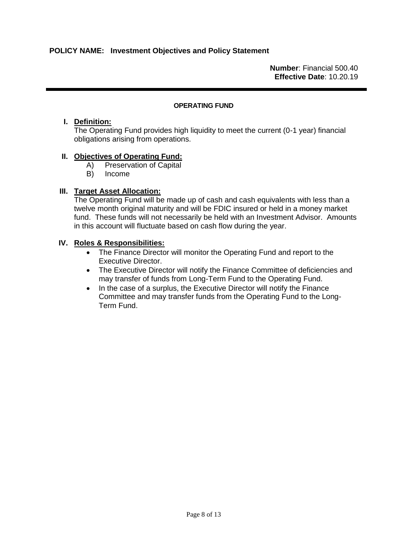**Number**: Financial 500.40 **Effective Date**: 10.20.19

#### **OPERATING FUND**

#### **I. Definition:**

The Operating Fund provides high liquidity to meet the current (0-1 year) financial obligations arising from operations.

### **II. Objectives of Operating Fund:**

- A) Preservation of Capital
- B) Income

### **III. Target Asset Allocation:**

The Operating Fund will be made up of cash and cash equivalents with less than a twelve month original maturity and will be FDIC insured or held in a money market fund. These funds will not necessarily be held with an Investment Advisor. Amounts in this account will fluctuate based on cash flow during the year.

### **IV. Roles & Responsibilities:**

- The Finance Director will monitor the Operating Fund and report to the Executive Director.
- The Executive Director will notify the Finance Committee of deficiencies and may transfer of funds from Long-Term Fund to the Operating Fund.
- In the case of a surplus, the Executive Director will notify the Finance Committee and may transfer funds from the Operating Fund to the Long-Term Fund.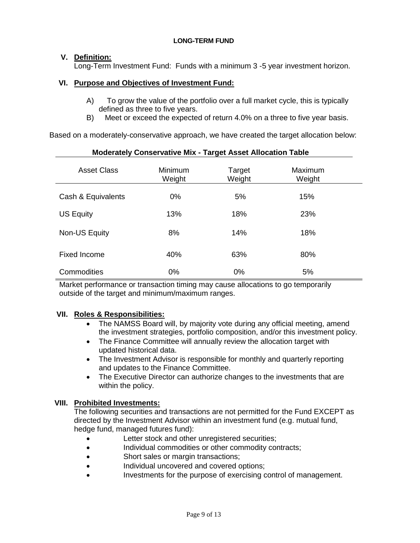#### **LONG-TERM FUND**

# **V. Definition:**

Long-Term Investment Fund: Funds with a minimum 3 -5 year investment horizon.

## **VI. Purpose and Objectives of Investment Fund:**

- A) To grow the value of the portfolio over a full market cycle, this is typically defined as three to five years.
- B) Meet or exceed the expected of return 4.0% on a three to five year basis.

Based on a moderately-conservative approach, we have created the target allocation below:

| <u>MUUCIALEI VUIISEI VALIVE MIA - TAI YEL ASSEL ANUCALIUIT TADIE</u> |                          |                  |                   |  |
|----------------------------------------------------------------------|--------------------------|------------------|-------------------|--|
| <b>Asset Class</b>                                                   | <b>Minimum</b><br>Weight | Target<br>Weight | Maximum<br>Weight |  |
| Cash & Equivalents                                                   | $0\%$                    | 5%               | 15%               |  |
| <b>US Equity</b>                                                     | 13%                      | 18%              | 23%               |  |
| Non-US Equity                                                        | 8%                       | 14%              | 18%               |  |
| <b>Fixed Income</b>                                                  | 40%                      | 63%              | 80%               |  |
| Commodities                                                          | 0%                       | $0\%$            | 5%                |  |

## **Moderately Conservative Mix - Target Asset Allocation Table**

Market performance or transaction timing may cause allocations to go temporarily outside of the target and minimum/maximum ranges.

## **VII. Roles & Responsibilities:**

- The NAMSS Board will, by majority vote during any official meeting, amend the investment strategies, portfolio composition, and/or this investment policy.
- The Finance Committee will annually review the allocation target with updated historical data.
- The Investment Advisor is responsible for monthly and quarterly reporting and updates to the Finance Committee.
- The Executive Director can authorize changes to the investments that are within the policy.

## **VIII. Prohibited Investments:**

The following securities and transactions are not permitted for the Fund EXCEPT as directed by the Investment Advisor within an investment fund (e.g. mutual fund, hedge fund, managed futures fund):

- Letter stock and other unregistered securities;
- Individual commodities or other commodity contracts;
- Short sales or margin transactions;
- Individual uncovered and covered options;
- Investments for the purpose of exercising control of management.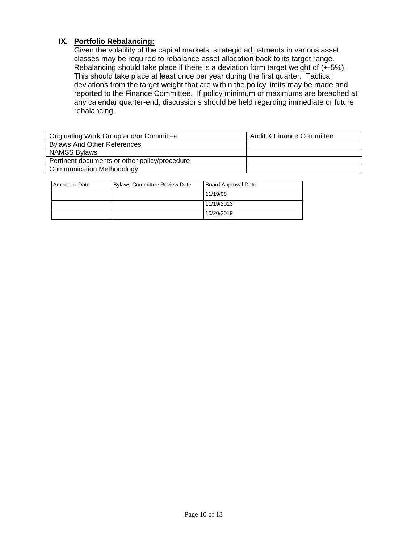## **IX. Portfolio Rebalancing:**

Given the volatility of the capital markets, strategic adjustments in various asset classes may be required to rebalance asset allocation back to its target range. Rebalancing should take place if there is a deviation form target weight of (+-5%). This should take place at least once per year during the first quarter. Tactical deviations from the target weight that are within the policy limits may be made and reported to the Finance Committee. If policy minimum or maximums are breached at any calendar quarter-end, discussions should be held regarding immediate or future rebalancing.

| Originating Work Group and/or Committee       | <b>Audit &amp; Finance Committee</b> |
|-----------------------------------------------|--------------------------------------|
| <b>Bylaws And Other References</b>            |                                      |
| <b>NAMSS Bylaws</b>                           |                                      |
| Pertinent documents or other policy/procedure |                                      |
| <b>Communication Methodology</b>              |                                      |

| <b>Amended Date</b> | <b>Bylaws Committee Review Date</b> | <b>Board Approval Date</b> |
|---------------------|-------------------------------------|----------------------------|
|                     |                                     | 11/19/08                   |
|                     |                                     | 11/19/2013                 |
|                     |                                     | 10/20/2019                 |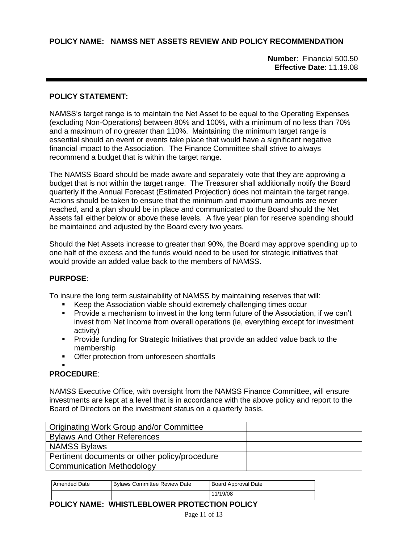**POLICY NAME: NAMSS NET ASSETS REVIEW AND POLICY RECOMMENDATION**

**Number**: Financial 500.50 **Effective Date**: 11.19.08

# **POLICY STATEMENT:**

NAMSS's target range is to maintain the Net Asset to be equal to the Operating Expenses (excluding Non-Operations) between 80% and 100%, with a minimum of no less than 70% and a maximum of no greater than 110%. Maintaining the minimum target range is essential should an event or events take place that would have a significant negative financial impact to the Association. The Finance Committee shall strive to always recommend a budget that is within the target range.

The NAMSS Board should be made aware and separately vote that they are approving a budget that is not within the target range. The Treasurer shall additionally notify the Board quarterly if the Annual Forecast (Estimated Projection) does not maintain the target range. Actions should be taken to ensure that the minimum and maximum amounts are never reached, and a plan should be in place and communicated to the Board should the Net Assets fall either below or above these levels. A five year plan for reserve spending should be maintained and adjusted by the Board every two years.

Should the Net Assets increase to greater than 90%, the Board may approve spending up to one half of the excess and the funds would need to be used for strategic initiatives that would provide an added value back to the members of NAMSS.

# **PURPOSE**:

To insure the long term sustainability of NAMSS by maintaining reserves that will:

- Keep the Association viable should extremely challenging times occur
- **Provide a mechanism to invest in the long term future of the Association, if we can't** invest from Net Income from overall operations (ie, everything except for investment activity)
- Provide funding for Strategic Initiatives that provide an added value back to the membership
- **Offer protection from unforeseen shortfalls**

#### . **PROCEDURE**:

NAMSS Executive Office, with oversight from the NAMSS Finance Committee, will ensure investments are kept at a level that is in accordance with the above policy and report to the Board of Directors on the investment status on a quarterly basis.

| Originating Work Group and/or Committee       |  |
|-----------------------------------------------|--|
| <b>Bylaws And Other References</b>            |  |
| <b>NAMSS Bylaws</b>                           |  |
| Pertinent documents or other policy/procedure |  |
| <b>Communication Methodology</b>              |  |

| Amended Date | Bylaws Committee Review Date | Board Approval Date |
|--------------|------------------------------|---------------------|
|              |                              | 11/19/08            |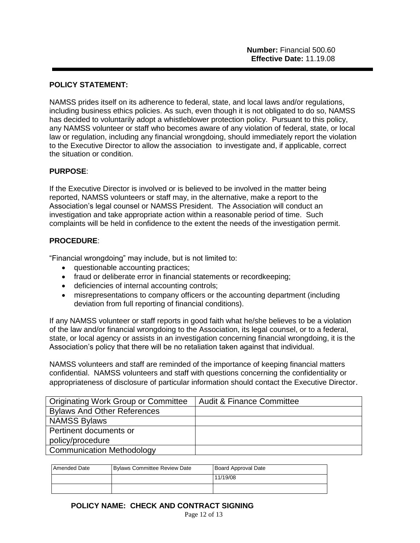## **POLICY STATEMENT:**

NAMSS prides itself on its adherence to federal, state, and local laws and/or regulations, including business ethics policies. As such, even though it is not obligated to do so, NAMSS has decided to voluntarily adopt a whistleblower protection policy. Pursuant to this policy, any NAMSS volunteer or staff who becomes aware of any violation of federal, state, or local law or regulation, including any financial wrongdoing, should immediately report the violation to the Executive Director to allow the association to investigate and, if applicable, correct the situation or condition.

## **PURPOSE**:

If the Executive Director is involved or is believed to be involved in the matter being reported, NAMSS volunteers or staff may, in the alternative, make a report to the Association's legal counsel or NAMSS President. The Association will conduct an investigation and take appropriate action within a reasonable period of time. Such complaints will be held in confidence to the extent the needs of the investigation permit.

#### **PROCEDURE**:

"Financial wrongdoing" may include, but is not limited to:

- questionable accounting practices;
- fraud or deliberate error in financial statements or recordkeeping;
- deficiencies of internal accounting controls;
- misrepresentations to company officers or the accounting department (including deviation from full reporting of financial conditions).

If any NAMSS volunteer or staff reports in good faith what he/she believes to be a violation of the law and/or financial wrongdoing to the Association, its legal counsel, or to a federal, state, or local agency or assists in an investigation concerning financial wrongdoing, it is the Association's policy that there will be no retaliation taken against that individual.

NAMSS volunteers and staff are reminded of the importance of keeping financial matters confidential. NAMSS volunteers and staff with questions concerning the confidentiality or appropriateness of disclosure of particular information should contact the Executive Director.

| Originating Work Group or Committee | Audit & Finance Committee |
|-------------------------------------|---------------------------|
| <b>Bylaws And Other References</b>  |                           |
| <b>NAMSS Bylaws</b>                 |                           |
| Pertinent documents or              |                           |
| policy/procedure                    |                           |
| <b>Communication Methodology</b>    |                           |

| Amended Date | <b>Bylaws Committee Review Date</b> | Board Approval Date |
|--------------|-------------------------------------|---------------------|
|              |                                     | 11/19/08            |
|              |                                     |                     |